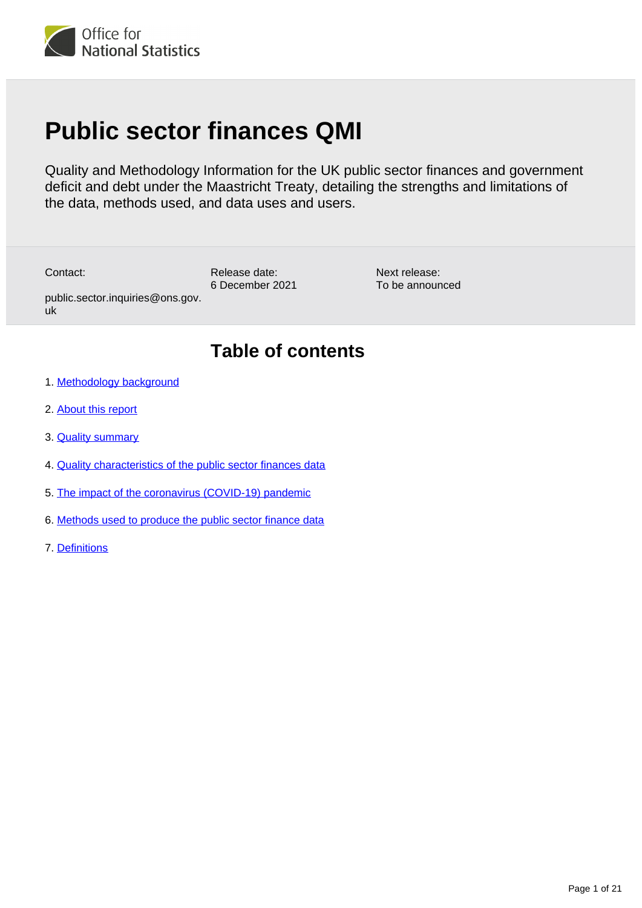

# **Public sector finances QMI**

Quality and Methodology Information for the UK public sector finances and government deficit and debt under the Maastricht Treaty, detailing the strengths and limitations of the data, methods used, and data uses and users.

Contact:

uk

Release date: 6 December 2021

Next release: To be announced

# **Table of contents**

1. [Methodology background](#page-1-0)

public.sector.inquiries@ons.gov.

- 2. [About this report](#page-1-1)
- 3. [Quality summary](#page-3-0)
- 4. [Quality characteristics of the public sector finances data](#page-8-0)
- 5. [The impact of the coronavirus \(COVID-19\) pandemic](#page-15-0)
- 6. [Methods used to produce the public sector finance data](#page-15-1)
- 7. [Definitions](#page-18-0)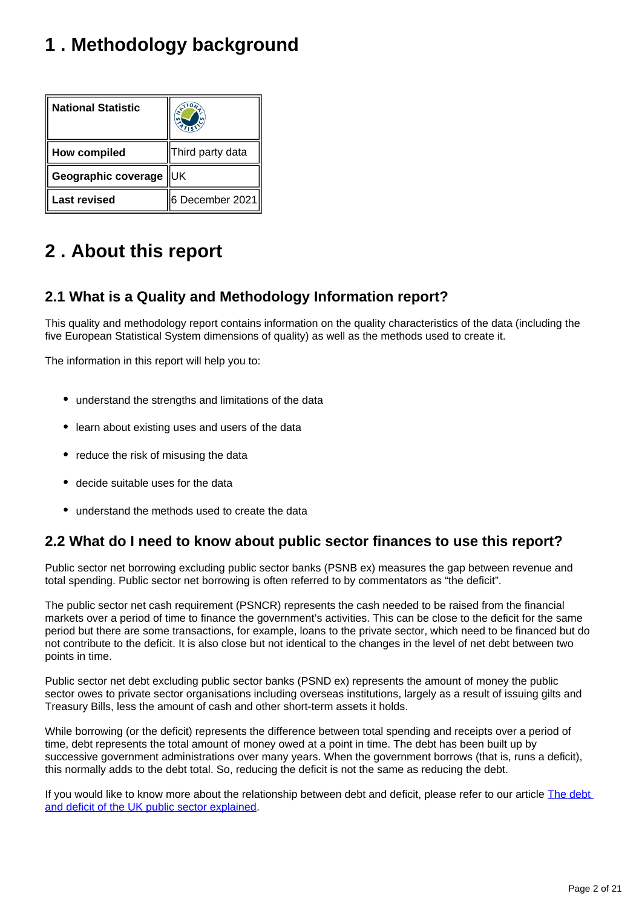# <span id="page-1-0"></span>**1 . Methodology background**

| <b>National Statistic</b> |                  |
|---------------------------|------------------|
| <b>How compiled</b>       | Third party data |
| Geographic coverage       | ΙUΚ              |
| <b>Last revised</b>       | 6 December 2021  |

# <span id="page-1-1"></span>**2 . About this report**

# **2.1 What is a Quality and Methodology Information report?**

This quality and methodology report contains information on the quality characteristics of the data (including the five European Statistical System dimensions of quality) as well as the methods used to create it.

The information in this report will help you to:

- understand the strengths and limitations of the data
- learn about existing uses and users of the data
- reduce the risk of misusing the data
- decide suitable uses for the data
- understand the methods used to create the data

# **2.2 What do I need to know about public sector finances to use this report?**

Public sector net borrowing excluding public sector banks (PSNB ex) measures the gap between revenue and total spending. Public sector net borrowing is often referred to by commentators as "the deficit".

The public sector net cash requirement (PSNCR) represents the cash needed to be raised from the financial markets over a period of time to finance the government's activities. This can be close to the deficit for the same period but there are some transactions, for example, loans to the private sector, which need to be financed but do not contribute to the deficit. It is also close but not identical to the changes in the level of net debt between two points in time.

Public sector net debt excluding public sector banks (PSND ex) represents the amount of money the public sector owes to private sector organisations including overseas institutions, largely as a result of issuing gilts and Treasury Bills, less the amount of cash and other short-term assets it holds.

While borrowing (or the deficit) represents the difference between total spending and receipts over a period of time, debt represents the total amount of money owed at a point in time. The debt has been built up by successive government administrations over many years. When the government borrows (that is, runs a deficit), this normally adds to the debt total. So, reducing the deficit is not the same as reducing the debt.

If you would like to know more about the relationship between debt and deficit, please refer to our article The debt [and deficit of the UK public sector explained](http://visual.ons.gov.uk/the-debt-and-deficit-of-the-uk-public-sector-explained/).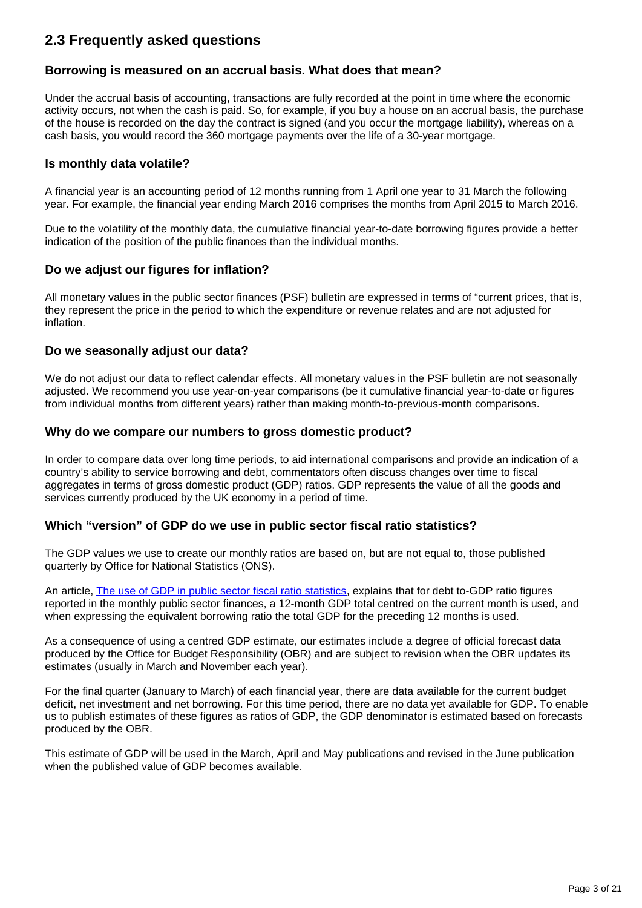# **2.3 Frequently asked questions**

#### **Borrowing is measured on an accrual basis. What does that mean?**

Under the accrual basis of accounting, transactions are fully recorded at the point in time where the economic activity occurs, not when the cash is paid. So, for example, if you buy a house on an accrual basis, the purchase of the house is recorded on the day the contract is signed (and you occur the mortgage liability), whereas on a cash basis, you would record the 360 mortgage payments over the life of a 30-year mortgage.

#### **Is monthly data volatile?**

A financial year is an accounting period of 12 months running from 1 April one year to 31 March the following year. For example, the financial year ending March 2016 comprises the months from April 2015 to March 2016.

Due to the volatility of the monthly data, the cumulative financial year-to-date borrowing figures provide a better indication of the position of the public finances than the individual months.

#### **Do we adjust our figures for inflation?**

All monetary values in the public sector finances (PSF) bulletin are expressed in terms of "current prices, that is, they represent the price in the period to which the expenditure or revenue relates and are not adjusted for inflation.

#### **Do we seasonally adjust our data?**

We do not adjust our data to reflect calendar effects. All monetary values in the PSF bulletin are not seasonally adjusted. We recommend you use year-on-year comparisons (be it cumulative financial year-to-date or figures from individual months from different years) rather than making month-to-previous-month comparisons.

#### **Why do we compare our numbers to gross domestic product?**

In order to compare data over long time periods, to aid international comparisons and provide an indication of a country's ability to service borrowing and debt, commentators often discuss changes over time to fiscal aggregates in terms of gross domestic product (GDP) ratios. GDP represents the value of all the goods and services currently produced by the UK economy in a period of time.

#### **Which "version" of GDP do we use in public sector fiscal ratio statistics?**

The GDP values we use to create our monthly ratios are based on, but are not equal to, those published quarterly by Office for National Statistics (ONS).

An article, [The use of GDP in public sector fiscal ratio statistics,](https://www.ons.gov.uk/economy/governmentpublicsectorandtaxes/publicsectorfinance/methodologies/theuseofgrossdomesticproductgdpinpublicsectorfiscalratiostatistics) explains that for debt to-GDP ratio figures reported in the monthly public sector finances, a 12-month GDP total centred on the current month is used, and when expressing the equivalent borrowing ratio the total GDP for the preceding 12 months is used.

As a consequence of using a centred GDP estimate, our estimates include a degree of official forecast data produced by the Office for Budget Responsibility (OBR) and are subject to revision when the OBR updates its estimates (usually in March and November each year).

For the final quarter (January to March) of each financial year, there are data available for the current budget deficit, net investment and net borrowing. For this time period, there are no data yet available for GDP. To enable us to publish estimates of these figures as ratios of GDP, the GDP denominator is estimated based on forecasts produced by the OBR.

This estimate of GDP will be used in the March, April and May publications and revised in the June publication when the published value of GDP becomes available.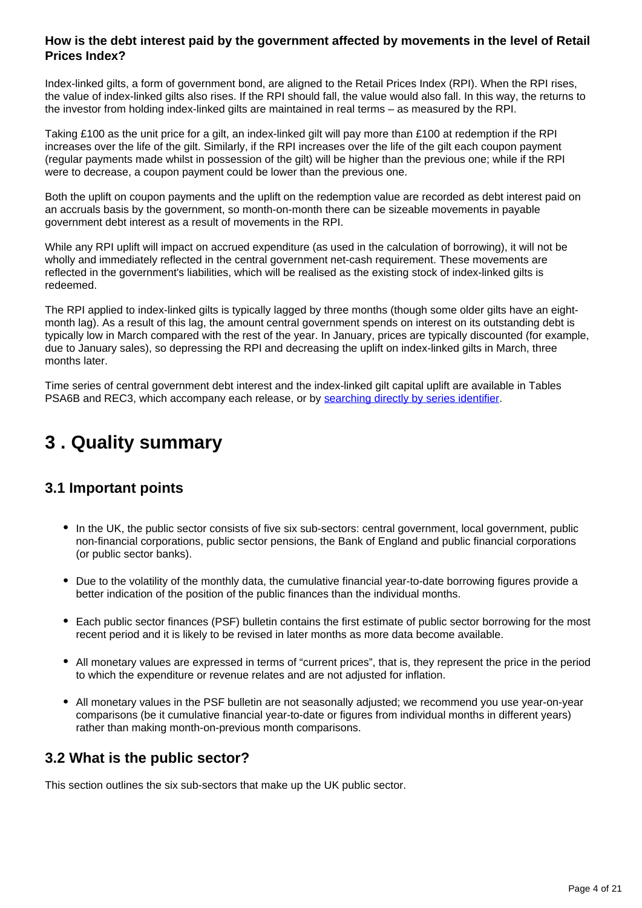## **How is the debt interest paid by the government affected by movements in the level of Retail Prices Index?**

Index-linked gilts, a form of government bond, are aligned to the Retail Prices Index (RPI). When the RPI rises, the value of index-linked gilts also rises. If the RPI should fall, the value would also fall. In this way, the returns to the investor from holding index-linked gilts are maintained in real terms – as measured by the RPI.

Taking £100 as the unit price for a gilt, an index-linked gilt will pay more than £100 at redemption if the RPI increases over the life of the gilt. Similarly, if the RPI increases over the life of the gilt each coupon payment (regular payments made whilst in possession of the gilt) will be higher than the previous one; while if the RPI were to decrease, a coupon payment could be lower than the previous one.

Both the uplift on coupon payments and the uplift on the redemption value are recorded as debt interest paid on an accruals basis by the government, so month-on-month there can be sizeable movements in payable government debt interest as a result of movements in the RPI.

While any RPI uplift will impact on accrued expenditure (as used in the calculation of borrowing), it will not be wholly and immediately reflected in the central government net-cash requirement. These movements are reflected in the government's liabilities, which will be realised as the existing stock of index-linked gilts is redeemed.

The RPI applied to index-linked gilts is typically lagged by three months (though some older gilts have an eightmonth lag). As a result of this lag, the amount central government spends on interest on its outstanding debt is typically low in March compared with the rest of the year. In January, prices are typically discounted (for example, due to January sales), so depressing the RPI and decreasing the uplift on index-linked gilts in March, three months later.

Time series of central government debt interest and the index-linked gilt capital uplift are available in Tables PSA6B and REC3, which accompany each release, or by [searching directly by series identifier](https://www.ons.gov.uk/).

# <span id="page-3-0"></span>**3 . Quality summary**

# **3.1 Important points**

- In the UK, the public sector consists of five six sub-sectors: central government, local government, public non-financial corporations, public sector pensions, the Bank of England and public financial corporations (or public sector banks).
- Due to the volatility of the monthly data, the cumulative financial year-to-date borrowing figures provide a better indication of the position of the public finances than the individual months.
- Each public sector finances (PSF) bulletin contains the first estimate of public sector borrowing for the most recent period and it is likely to be revised in later months as more data become available.
- All monetary values are expressed in terms of "current prices", that is, they represent the price in the period to which the expenditure or revenue relates and are not adjusted for inflation.
- All monetary values in the PSF bulletin are not seasonally adjusted; we recommend you use year-on-year comparisons (be it cumulative financial year-to-date or figures from individual months in different years) rather than making month-on-previous month comparisons.

# **3.2 What is the public sector?**

This section outlines the six sub-sectors that make up the UK public sector.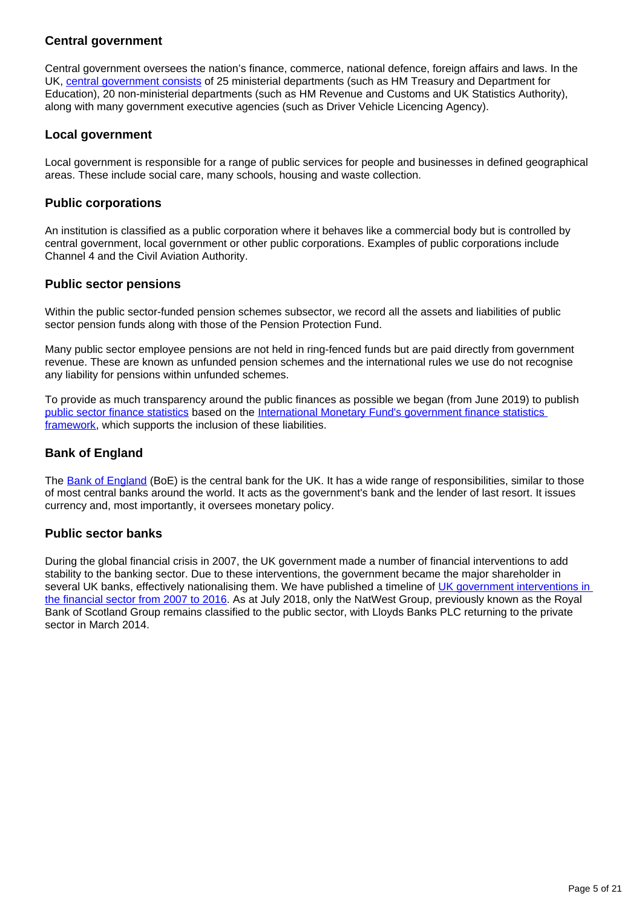## **Central government**

Central government oversees the nation's finance, commerce, national defence, foreign affairs and laws. In the UK, [central government consists](https://www.gov.uk/government/organisations) of 25 ministerial departments (such as HM Treasury and Department for Education), 20 non-ministerial departments (such as HM Revenue and Customs and UK Statistics Authority), along with many government executive agencies (such as Driver Vehicle Licencing Agency).

#### **Local government**

Local government is responsible for a range of public services for people and businesses in defined geographical areas. These include social care, many schools, housing and waste collection.

#### **Public corporations**

An institution is classified as a public corporation where it behaves like a commercial body but is controlled by central government, local government or other public corporations. Examples of public corporations include Channel 4 and the Civil Aviation Authority.

#### **Public sector pensions**

Within the public sector-funded pension schemes subsector, we record all the assets and liabilities of public sector pension funds along with those of the Pension Protection Fund.

Many public sector employee pensions are not held in ring-fenced funds but are paid directly from government revenue. These are known as unfunded pension schemes and the international rules we use do not recognise any liability for pensions within unfunded schemes.

To provide as much transparency around the public finances as possible we began (from June 2019) to publish [public sector finance statistics](https://www.ons.gov.uk/economy/governmentpublicsectorandtaxes/publicsectorfinance/datasets/internationalmonetaryfundsgovernmentfinancestatisticsframeworkinthepublicsectorfinancesappendixe) based on the [International Monetary Fund's government finance statistics](https://www.ons.gov.uk/economy/governmentpublicsectorandtaxes/publicsectorfinance/methodologies/internationalmonetaryfundsgovernmentfinancestatisticsframeworkinthepublicsectorfinances)  [framework](https://www.ons.gov.uk/economy/governmentpublicsectorandtaxes/publicsectorfinance/methodologies/internationalmonetaryfundsgovernmentfinancestatisticsframeworkinthepublicsectorfinances), which supports the inclusion of these liabilities.

### **Bank of England**

The [Bank of England](https://www.bankofengland.co.uk/) (BoE) is the central bank for the UK. It has a wide range of responsibilities, similar to those of most central banks around the world. It acts as the government's bank and the lender of last resort. It issues currency and, most importantly, it oversees monetary policy.

#### **Public sector banks**

During the global financial crisis in 2007, the UK government made a number of financial interventions to add stability to the banking sector. Due to these interventions, the government became the major shareholder in several UK banks, effectively nationalising them. We have published a timeline of UK government interventions in [the financial sector from 2007 to 2016](https://www.ons.gov.uk/methodology/methodologicalpublications/specificmethodology/economy/articles/ukgovernmentinterventionsinthefinancialsector2007to2016#oct-2016). As at July 2018, only the NatWest Group, previously known as the Royal Bank of Scotland Group remains classified to the public sector, with Lloyds Banks PLC returning to the private sector in March 2014.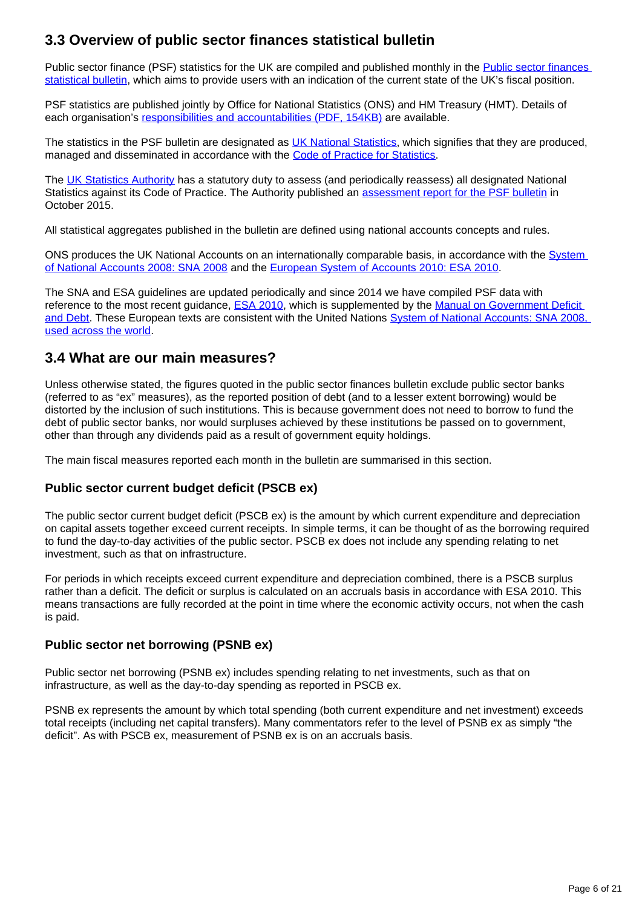# **3.3 Overview of public sector finances statistical bulletin**

Public sector finance (PSF) statistics for the UK are compiled and published monthly in the Public sector finances [statistical bulletin](https://www.ons.gov.uk/economy/governmentpublicsectorandtaxes/publicsectorfinance/bulletins/publicsectorfinances/previousReleases), which aims to provide users with an indication of the current state of the UK's fiscal position.

PSF statistics are published jointly by Office for National Statistics (ONS) and HM Treasury (HMT). Details of each organisation's [responsibilities and accountabilities \(PDF, 154KB\)](http://www.ons.gov.uk/ons/guide-method/method-quality/specific/economy/public-sector-finances/production-of-the-public-sector-finances-statistical-bulletin--responsibilities-and-accountabilities.pdf) are available.

The statistics in the PSF bulletin are designated as [UK National Statistics,](https://www.statisticsauthority.gov.uk/about-the-authority/uk-statistical-system/types-of-official-statistics/) which signifies that they are produced, managed and disseminated in accordance with the [Code of Practice for Statistics.](https://www.statisticsauthority.gov.uk/code-of-practice/)

The [UK Statistics Authority](https://www.statisticsauthority.gov.uk/) has a statutory duty to assess (and periodically reassess) all designated National Statistics against its Code of Practice. The Authority published an [assessment report for the PSF bulletin](https://www.statisticsauthority.gov.uk/publication/statistics-on-the-public-sector-finances/) in October 2015.

All statistical aggregates published in the bulletin are defined using national accounts concepts and rules.

ONS produces the UK National Accounts on an internationally comparable basis, in accordance with the [System](http://unstats.un.org/unsd/nationalaccount/sna2008.asp)  [of National Accounts 2008: SNA 2008](http://unstats.un.org/unsd/nationalaccount/sna2008.asp) and the [European System of Accounts 2010: ESA 2010](http://ec.europa.eu/eurostat/web/esa-2010).

The SNA and ESA guidelines are updated periodically and since 2014 we have compiled PSF data with reference to the most recent guidance, [ESA 2010,](http://ec.europa.eu/eurostat/web/esa-2010) which is supplemented by the [Manual on Government Deficit](http://ec.europa.eu/eurostat/web/products-manuals-and-guidelines/-/KS-GQ-16-001)  [and Debt.](http://ec.europa.eu/eurostat/web/products-manuals-and-guidelines/-/KS-GQ-16-001) These European texts are consistent with the United Nations [System of National Accounts: SNA 2008,](http://unstats.un.org/unsd/nationalaccount/sna2008.asp)  [used across the world.](http://unstats.un.org/unsd/nationalaccount/sna2008.asp)

## **3.4 What are our main measures?**

Unless otherwise stated, the figures quoted in the public sector finances bulletin exclude public sector banks (referred to as "ex" measures), as the reported position of debt (and to a lesser extent borrowing) would be distorted by the inclusion of such institutions. This is because government does not need to borrow to fund the debt of public sector banks, nor would surpluses achieved by these institutions be passed on to government, other than through any dividends paid as a result of government equity holdings.

The main fiscal measures reported each month in the bulletin are summarised in this section.

#### **Public sector current budget deficit (PSCB ex)**

The public sector current budget deficit (PSCB ex) is the amount by which current expenditure and depreciation on capital assets together exceed current receipts. In simple terms, it can be thought of as the borrowing required to fund the day-to-day activities of the public sector. PSCB ex does not include any spending relating to net investment, such as that on infrastructure.

For periods in which receipts exceed current expenditure and depreciation combined, there is a PSCB surplus rather than a deficit. The deficit or surplus is calculated on an accruals basis in accordance with ESA 2010. This means transactions are fully recorded at the point in time where the economic activity occurs, not when the cash is paid.

#### **Public sector net borrowing (PSNB ex)**

Public sector net borrowing (PSNB ex) includes spending relating to net investments, such as that on infrastructure, as well as the day-to-day spending as reported in PSCB ex.

PSNB ex represents the amount by which total spending (both current expenditure and net investment) exceeds total receipts (including net capital transfers). Many commentators refer to the level of PSNB ex as simply "the deficit". As with PSCB ex, measurement of PSNB ex is on an accruals basis.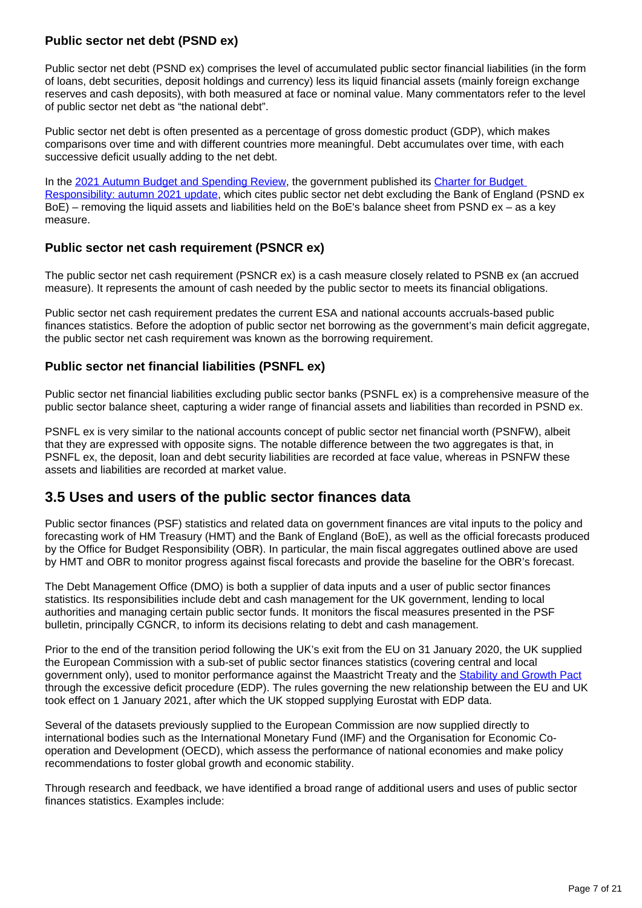## **Public sector net debt (PSND ex)**

Public sector net debt (PSND ex) comprises the level of accumulated public sector financial liabilities (in the form of loans, debt securities, deposit holdings and currency) less its liquid financial assets (mainly foreign exchange reserves and cash deposits), with both measured at face or nominal value. Many commentators refer to the level of public sector net debt as "the national debt".

Public sector net debt is often presented as a percentage of gross domestic product (GDP), which makes comparisons over time and with different countries more meaningful. Debt accumulates over time, with each successive deficit usually adding to the net debt.

In the [2021 Autumn Budget and Spending Review](https://www.gov.uk/government/publications/autumn-budget-and-spending-review-2021-documents), the government published its Charter for Budget [Responsibility: autumn 2021 update](https://www.gov.uk/government/publications/charter-for-budget-responsibility-autumn-2021-update), which cites public sector net debt excluding the Bank of England (PSND ex BoE) – removing the liquid assets and liabilities held on the BoE's balance sheet from PSND ex – as a key measure.

#### **Public sector net cash requirement (PSNCR ex)**

The public sector net cash requirement (PSNCR ex) is a cash measure closely related to PSNB ex (an accrued measure). It represents the amount of cash needed by the public sector to meets its financial obligations.

Public sector net cash requirement predates the current ESA and national accounts accruals-based public finances statistics. Before the adoption of public sector net borrowing as the government's main deficit aggregate, the public sector net cash requirement was known as the borrowing requirement.

## **Public sector net financial liabilities (PSNFL ex)**

Public sector net financial liabilities excluding public sector banks (PSNFL ex) is a comprehensive measure of the public sector balance sheet, capturing a wider range of financial assets and liabilities than recorded in PSND ex.

PSNFL ex is very similar to the national accounts concept of public sector net financial worth (PSNFW), albeit that they are expressed with opposite signs. The notable difference between the two aggregates is that, in PSNFL ex, the deposit, loan and debt security liabilities are recorded at face value, whereas in PSNFW these assets and liabilities are recorded at market value.

# **3.5 Uses and users of the public sector finances data**

Public sector finances (PSF) statistics and related data on government finances are vital inputs to the policy and forecasting work of HM Treasury (HMT) and the Bank of England (BoE), as well as the official forecasts produced by the Office for Budget Responsibility (OBR). In particular, the main fiscal aggregates outlined above are used by HMT and OBR to monitor progress against fiscal forecasts and provide the baseline for the OBR's forecast.

The Debt Management Office (DMO) is both a supplier of data inputs and a user of public sector finances statistics. Its responsibilities include debt and cash management for the UK government, lending to local authorities and managing certain public sector funds. It monitors the fiscal measures presented in the PSF bulletin, principally CGNCR, to inform its decisions relating to debt and cash management.

Prior to the end of the transition period following the UK's exit from the EU on 31 January 2020, the UK supplied the European Commission with a sub-set of public sector finances statistics (covering central and local government only), used to monitor performance against the Maastricht Treaty and the [Stability and Growth Pact](http://ec.europa.eu/economy_finance/economic_governance/sgp/index_en.htm) through the excessive deficit procedure (EDP). The rules governing the new relationship between the EU and UK took effect on 1 January 2021, after which the UK stopped supplying Eurostat with EDP data.

Several of the datasets previously supplied to the European Commission are now supplied directly to international bodies such as the International Monetary Fund (IMF) and the Organisation for Economic Cooperation and Development (OECD), which assess the performance of national economies and make policy recommendations to foster global growth and economic stability.

Through research and feedback, we have identified a broad range of additional users and uses of public sector finances statistics. Examples include: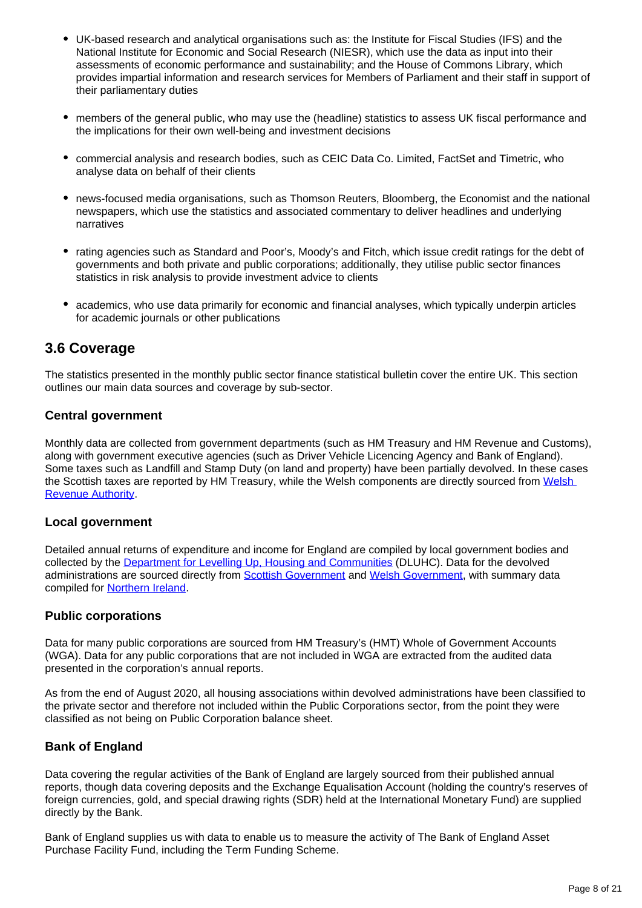- UK-based research and analytical organisations such as: the Institute for Fiscal Studies (IFS) and the National Institute for Economic and Social Research (NIESR), which use the data as input into their assessments of economic performance and sustainability; and the House of Commons Library, which provides impartial information and research services for Members of Parliament and their staff in support of their parliamentary duties
- members of the general public, who may use the (headline) statistics to assess UK fiscal performance and the implications for their own well-being and investment decisions
- commercial analysis and research bodies, such as CEIC Data Co. Limited, FactSet and Timetric, who analyse data on behalf of their clients
- news-focused media organisations, such as Thomson Reuters, Bloomberg, the Economist and the national newspapers, which use the statistics and associated commentary to deliver headlines and underlying narratives
- rating agencies such as Standard and Poor's, Moody's and Fitch, which issue credit ratings for the debt of governments and both private and public corporations; additionally, they utilise public sector finances statistics in risk analysis to provide investment advice to clients
- academics, who use data primarily for economic and financial analyses, which typically underpin articles for academic journals or other publications

## **3.6 Coverage**

The statistics presented in the monthly public sector finance statistical bulletin cover the entire UK. This section outlines our main data sources and coverage by sub-sector.

## **Central government**

Monthly data are collected from government departments (such as HM Treasury and HM Revenue and Customs), along with government executive agencies (such as Driver Vehicle Licencing Agency and Bank of England). Some taxes such as Landfill and Stamp Duty (on land and property) have been partially devolved. In these cases the Scottish taxes are reported by HM Treasury, while the [Welsh](https://beta.gov.wales/welsh-revenue-authority) components are directly sourced from Welsh [Revenue Authority.](https://beta.gov.wales/welsh-revenue-authority)

#### **Local government**

Detailed annual returns of expenditure and income for England are compiled by local government bodies and collected by the **[Department for Levelling Up, Housing and Communities](https://www.gov.uk/government/organisations/department-for-levelling-up-housing-and-communities) (DLUHC)**. Data for the devolved administrations are sourced directly from [Scottish Government](http://www.gov.scot/) and [Welsh Government](http://gov.wales/?lang=en), with summary data compiled for [Northern Ireland.](http://www.northernireland.gov.uk/)

#### **Public corporations**

Data for many public corporations are sourced from HM Treasury's (HMT) Whole of Government Accounts (WGA). Data for any public corporations that are not included in WGA are extracted from the audited data presented in the corporation's annual reports.

As from the end of August 2020, all housing associations within devolved administrations have been classified to the private sector and therefore not included within the Public Corporations sector, from the point they were classified as not being on Public Corporation balance sheet.

#### **Bank of England**

Data covering the regular activities of the Bank of England are largely sourced from their published annual reports, though data covering deposits and the Exchange Equalisation Account (holding the country's reserves of foreign currencies, gold, and special drawing rights (SDR) held at the International Monetary Fund) are supplied directly by the Bank.

Bank of England supplies us with data to enable us to measure the activity of The Bank of England Asset Purchase Facility Fund, including the Term Funding Scheme.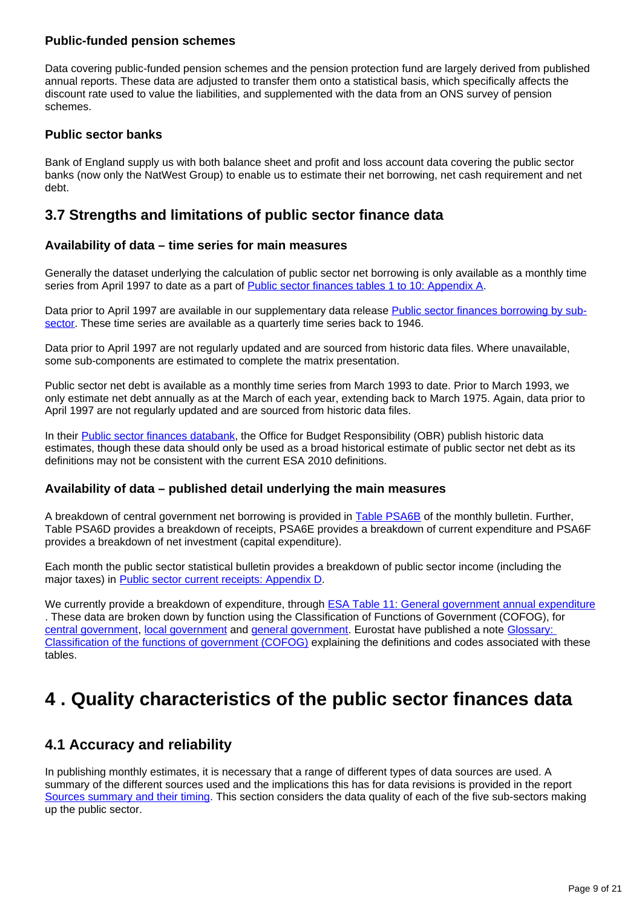#### **Public-funded pension schemes**

Data covering public-funded pension schemes and the pension protection fund are largely derived from published annual reports. These data are adjusted to transfer them onto a statistical basis, which specifically affects the discount rate used to value the liabilities, and supplemented with the data from an ONS survey of pension schemes.

#### **Public sector banks**

Bank of England supply us with both balance sheet and profit and loss account data covering the public sector banks (now only the NatWest Group) to enable us to estimate their net borrowing, net cash requirement and net debt.

## **3.7 Strengths and limitations of public sector finance data**

#### **Availability of data – time series for main measures**

Generally the dataset underlying the calculation of public sector net borrowing is only available as a monthly time series from April 1997 to date as a part of [Public sector finances tables 1 to 10: Appendix A](https://www.ons.gov.uk/economy/governmentpublicsectorandtaxes/publicsectorfinance/datasets/publicsectorfinancesappendixatables110).

Data prior to April 1997 are available in our supplementary data release **Public sector finances borrowing by sub**[sector](https://www.ons.gov.uk/economy/governmentpublicsectorandtaxes/publicsectorfinance/datasets/publicsectorfinancesborrowingbysubsector). These time series are available as a quarterly time series back to 1946.

Data prior to April 1997 are not regularly updated and are sourced from historic data files. Where unavailable, some sub-components are estimated to complete the matrix presentation.

Public sector net debt is available as a monthly time series from March 1993 to date. Prior to March 1993, we only estimate net debt annually as at the March of each year, extending back to March 1975. Again, data prior to April 1997 are not regularly updated and are sourced from historic data files.

In their [Public sector finances databank,](https://obr.uk/data/) the Office for Budget Responsibility (OBR) publish historic data estimates, though these data should only be used as a broad historical estimate of public sector net debt as its definitions may not be consistent with the current ESA 2010 definitions.

#### **Availability of data – published detail underlying the main measures**

A breakdown of central government net borrowing is provided in **[Table PSA6B](https://www.ons.gov.uk/economy/governmentpublicsectorandtaxes/publicsectorfinance/datasets/publicsectorfinancesappendixatables110)** of the monthly bulletin. Further, Table PSA6D provides a breakdown of receipts, PSA6E provides a breakdown of current expenditure and PSA6F provides a breakdown of net investment (capital expenditure).

Each month the public sector statistical bulletin provides a breakdown of public sector income (including the major taxes) in [Public sector current receipts: Appendix D.](https://www.ons.gov.uk/economy/governmentpublicsectorandtaxes/publicsectorfinance/datasets/appendixdpublicsectorcurrentreceipts)

We currently provide a breakdown of expenditure, through [ESA Table 11: General government annual expenditure](https://www.ons.gov.uk/economy/governmentpublicsectorandtaxes/publicspending/datasets/esatable11annualexpenditureofgeneralgovernment) . These data are broken down by function using the Classification of Functions of Government (COFOG), for [central government](https://www.ons.gov.uk/economy/governmentpublicsectorandtaxes/publicspending/datasets/esatable11annualexpenditureofcentralgovernment), [local government](https://www.ons.gov.uk/economy/governmentpublicsectorandtaxes/publicspending/datasets/esatable11annualexpenditurelocalgovernment) and [general government](https://www.ons.gov.uk/economy/governmentpublicsectorandtaxes/publicspending/datasets/esatable11annualexpenditureofgeneralgovernment). Eurostat have published a note [Glossary:](http://ec.europa.eu/eurostat/statistics-explained/index.php?title=Glossary:Classification_of_the_functions_of_government_(COFOG))  [Classification of the functions of government \(COFOG\)](http://ec.europa.eu/eurostat/statistics-explained/index.php?title=Glossary:Classification_of_the_functions_of_government_(COFOG)) explaining the definitions and codes associated with these tables.

# <span id="page-8-0"></span>**4 . Quality characteristics of the public sector finances data**

## **4.1 Accuracy and reliability**

In publishing monthly estimates, it is necessary that a range of different types of data sources are used. A summary of the different sources used and the implications this has for data revisions is provided in the report [Sources summary and their timing.](http://webarchive.nationalarchives.gov.uk/20160105160709/http:/www.ons.gov.uk/ons/guide-method/method-quality/specific/economy/public-sector-statistics/index.html) This section considers the data quality of each of the five sub-sectors making up the public sector.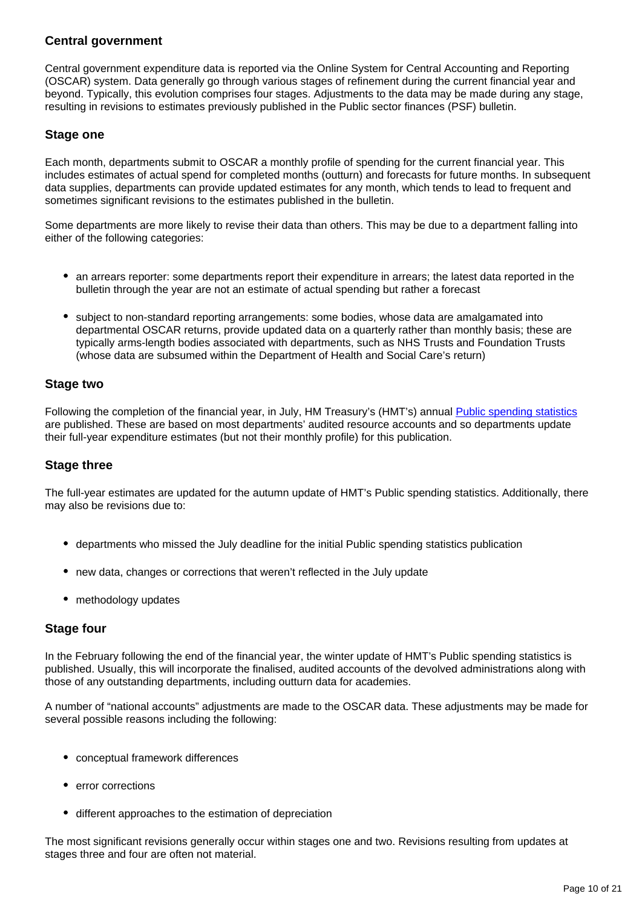### **Central government**

Central government expenditure data is reported via the Online System for Central Accounting and Reporting (OSCAR) system. Data generally go through various stages of refinement during the current financial year and beyond. Typically, this evolution comprises four stages. Adjustments to the data may be made during any stage, resulting in revisions to estimates previously published in the Public sector finances (PSF) bulletin.

#### **Stage one**

Each month, departments submit to OSCAR a monthly profile of spending for the current financial year. This includes estimates of actual spend for completed months (outturn) and forecasts for future months. In subsequent data supplies, departments can provide updated estimates for any month, which tends to lead to frequent and sometimes significant revisions to the estimates published in the bulletin.

Some departments are more likely to revise their data than others. This may be due to a department falling into either of the following categories:

- an arrears reporter: some departments report their expenditure in arrears; the latest data reported in the bulletin through the year are not an estimate of actual spending but rather a forecast
- subject to non-standard reporting arrangements: some bodies, whose data are amalgamated into departmental OSCAR returns, provide updated data on a quarterly rather than monthly basis; these are typically arms-length bodies associated with departments, such as NHS Trusts and Foundation Trusts (whose data are subsumed within the Department of Health and Social Care's return)

#### **Stage two**

Following the completion of the financial year, in July, HM Treasury's (HMT's) annual [Public spending statistics](https://www.gov.uk/government/collections/national-statistics-release) are published. These are based on most departments' audited resource accounts and so departments update their full-year expenditure estimates (but not their monthly profile) for this publication.

#### **Stage three**

The full-year estimates are updated for the autumn update of HMT's Public spending statistics. Additionally, there may also be revisions due to:

- departments who missed the July deadline for the initial Public spending statistics publication
- new data, changes or corrections that weren't reflected in the July update
- methodology updates

#### **Stage four**

In the February following the end of the financial year, the winter update of HMT's Public spending statistics is published. Usually, this will incorporate the finalised, audited accounts of the devolved administrations along with those of any outstanding departments, including outturn data for academies.

A number of "national accounts" adjustments are made to the OSCAR data. These adjustments may be made for several possible reasons including the following:

- conceptual framework differences
- error corrections
- different approaches to the estimation of depreciation

The most significant revisions generally occur within stages one and two. Revisions resulting from updates at stages three and four are often not material.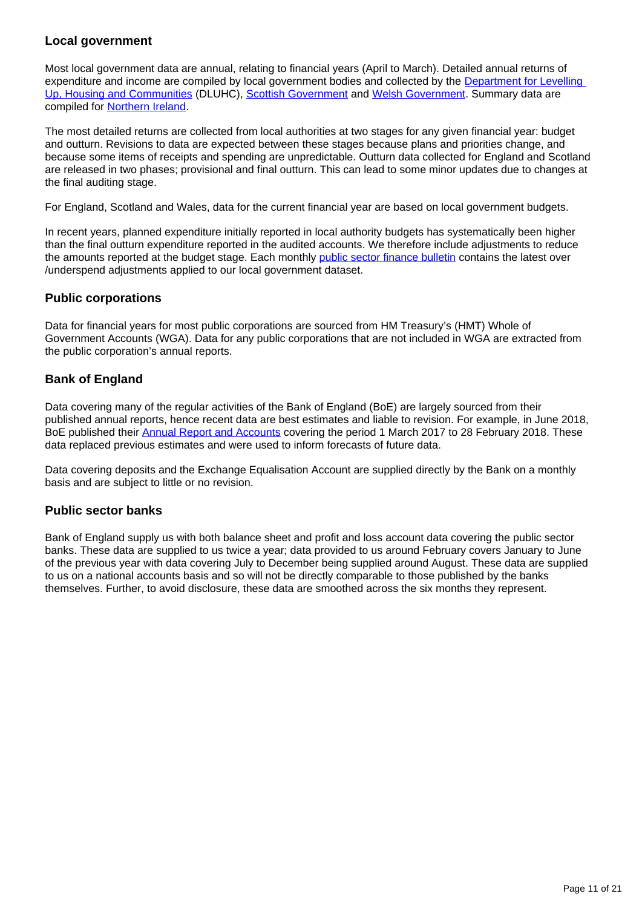## **Local government**

Most local government data are annual, relating to financial years (April to March). Detailed annual returns of expenditure and income are compiled by local government bodies and collected by the Department for Levelling [Up, Housing and Communities](https://www.gov.uk/government/organisations/department-for-levelling-up-housing-and-communities) (DLUHC), [Scottish Government](http://www.gov.scot/) and [Welsh Government.](http://gov.wales/?lang=en) Summary data are compiled for [Northern Ireland.](http://www.northernireland.gov.uk/)

The most detailed returns are collected from local authorities at two stages for any given financial year: budget and outturn. Revisions to data are expected between these stages because plans and priorities change, and because some items of receipts and spending are unpredictable. Outturn data collected for England and Scotland are released in two phases; provisional and final outturn. This can lead to some minor updates due to changes at the final auditing stage.

For England, Scotland and Wales, data for the current financial year are based on local government budgets.

In recent years, planned expenditure initially reported in local authority budgets has systematically been higher than the final outturn expenditure reported in the audited accounts. We therefore include adjustments to reduce the amounts reported at the budget stage. Each monthly [public sector finance bulletin](https://www.ons.gov.uk/economy/governmentpublicsectorandtaxes/publicsectorfinance/bulletins/publicsectorfinances/previousReleases) contains the latest over /underspend adjustments applied to our local government dataset.

#### **Public corporations**

Data for financial years for most public corporations are sourced from HM Treasury's (HMT) Whole of Government Accounts (WGA). Data for any public corporations that are not included in WGA are extracted from the public corporation's annual reports.

## **Bank of England**

Data covering many of the regular activities of the Bank of England (BoE) are largely sourced from their published annual reports, hence recent data are best estimates and liable to revision. For example, in June 2018, BoE published their [Annual Report and Accounts](https://www.bankofengland.co.uk/-/media/boe/files/annual-report/2017/boe-2017) covering the period 1 March 2017 to 28 February 2018. These data replaced previous estimates and were used to inform forecasts of future data.

Data covering deposits and the Exchange Equalisation Account are supplied directly by the Bank on a monthly basis and are subject to little or no revision.

#### **Public sector banks**

Bank of England supply us with both balance sheet and profit and loss account data covering the public sector banks. These data are supplied to us twice a year; data provided to us around February covers January to June of the previous year with data covering July to December being supplied around August. These data are supplied to us on a national accounts basis and so will not be directly comparable to those published by the banks themselves. Further, to avoid disclosure, these data are smoothed across the six months they represent.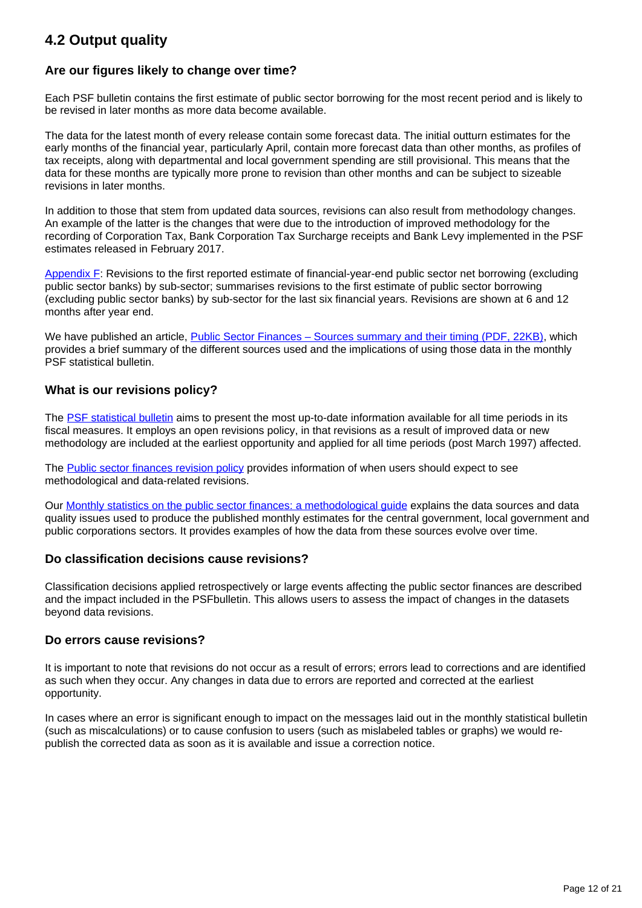# **4.2 Output quality**

## **Are our figures likely to change over time?**

Each PSF bulletin contains the first estimate of public sector borrowing for the most recent period and is likely to be revised in later months as more data become available.

The data for the latest month of every release contain some forecast data. The initial outturn estimates for the early months of the financial year, particularly April, contain more forecast data than other months, as profiles of tax receipts, along with departmental and local government spending are still provisional. This means that the data for these months are typically more prone to revision than other months and can be subject to sizeable revisions in later months.

In addition to those that stem from updated data sources, revisions can also result from methodology changes. An example of the latter is the changes that were due to the introduction of improved methodology for the recording of Corporation Tax, Bank Corporation Tax Surcharge receipts and Bank Levy implemented in the PSF estimates released in February 2017.

[Appendix F:](https://www.ons.gov.uk/economy/governmentpublicsectorandtaxes/publicsectorfinance/datasets/appendixgrevisionstothefirstreportedestimateoffinancialyearendpublicsectornetborrowingexcludingpublicsectorbanksbysubsector) Revisions to the first reported estimate of financial-year-end public sector net borrowing (excluding public sector banks) by sub-sector; summarises revisions to the first estimate of public sector borrowing (excluding public sector banks) by sub-sector for the last six financial years. Revisions are shown at 6 and 12 months after year end.

We have published an article, [Public Sector Finances – Sources summary and their timing \(PDF, 22KB\)](https://www.ons.gov.uk/file?uri=/economy/governmentpublicsectorandtaxes/publicsectorfinance/methodologies/publicsectorfinancespsf/publicsectorfinancessourcessummaryandtheirtiming15jul13tcm77318837.pdf), which provides a brief summary of the different sources used and the implications of using those data in the monthly PSF statistical bulletin.

## **What is our revisions policy?**

The [PSF statistical bulletin](http://www.ons.gov.uk/ons/rel/psa/public-sector-finances/index.html) aims to present the most up-to-date information available for all time periods in its fiscal measures. It employs an open revisions policy, in that revisions as a result of improved data or new methodology are included at the earliest opportunity and applied for all time periods (post March 1997) affected.

The [Public sector finances revision policy](http://www.ons.gov.uk/methodology/methodologytopicsandstatisticalconcepts/revisions/revisionspoliciesforeconomicstatistics) provides information of when users should expect to see methodological and data-related revisions.

Our [Monthly statistics on the public sector finances: a methodological guide](https://www.ons.gov.uk/economy/governmentpublicsectorandtaxes/publicsectorfinance/methodologies/monthlystatisticsonthepublicsectorfinancesamethodologicalguide#toc) explains the data sources and data quality issues used to produce the published monthly estimates for the central government, local government and public corporations sectors. It provides examples of how the data from these sources evolve over time.

#### **Do classification decisions cause revisions?**

Classification decisions applied retrospectively or large events affecting the public sector finances are described and the impact included in the PSFbulletin. This allows users to assess the impact of changes in the datasets beyond data revisions.

#### **Do errors cause revisions?**

It is important to note that revisions do not occur as a result of errors; errors lead to corrections and are identified as such when they occur. Any changes in data due to errors are reported and corrected at the earliest opportunity.

In cases where an error is significant enough to impact on the messages laid out in the monthly statistical bulletin (such as miscalculations) or to cause confusion to users (such as mislabeled tables or graphs) we would republish the corrected data as soon as it is available and issue a correction notice.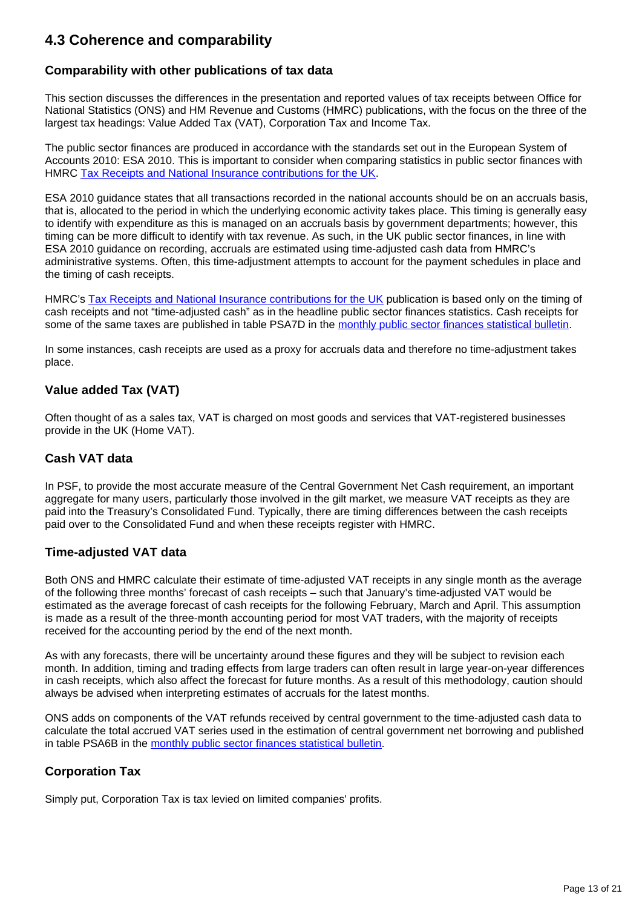# **4.3 Coherence and comparability**

## **Comparability with other publications of tax data**

This section discusses the differences in the presentation and reported values of tax receipts between Office for National Statistics (ONS) and HM Revenue and Customs (HMRC) publications, with the focus on the three of the largest tax headings: Value Added Tax (VAT), Corporation Tax and Income Tax.

The public sector finances are produced in accordance with the standards set out in the European System of Accounts 2010: ESA 2010. This is important to consider when comparing statistics in public sector finances with HMRC [Tax Receipts and National Insurance contributions for the UK](https://www.gov.uk/government/statistics/hmrc-tax-and-nics-receipts-for-the-uk).

ESA 2010 guidance states that all transactions recorded in the national accounts should be on an accruals basis, that is, allocated to the period in which the underlying economic activity takes place. This timing is generally easy to identify with expenditure as this is managed on an accruals basis by government departments; however, this timing can be more difficult to identify with tax revenue. As such, in the UK public sector finances, in line with ESA 2010 guidance on recording, accruals are estimated using time-adjusted cash data from HMRC's administrative systems. Often, this time-adjustment attempts to account for the payment schedules in place and the timing of cash receipts.

HMRC's [Tax Receipts and National Insurance contributions for the UK](https://www.gov.uk/government/statistics/hmrc-tax-and-nics-receipts-for-the-uk) publication is based only on the timing of cash receipts and not "time-adjusted cash" as in the headline public sector finances statistics. Cash receipts for some of the same taxes are published in table PSA7D in the [monthly public sector finances statistical bulletin.](https://www.ons.gov.uk/economy/governmentpublicsectorandtaxes/publicsectorfinance/datasets/publicsectorfinancesappendixatables110)

In some instances, cash receipts are used as a proxy for accruals data and therefore no time-adjustment takes place.

## **Value added Tax (VAT)**

Often thought of as a sales tax, VAT is charged on most goods and services that VAT-registered businesses provide in the UK (Home VAT).

#### **Cash VAT data**

In PSF, to provide the most accurate measure of the Central Government Net Cash requirement, an important aggregate for many users, particularly those involved in the gilt market, we measure VAT receipts as they are paid into the Treasury's Consolidated Fund. Typically, there are timing differences between the cash receipts paid over to the Consolidated Fund and when these receipts register with HMRC.

#### **Time-adjusted VAT data**

Both ONS and HMRC calculate their estimate of time-adjusted VAT receipts in any single month as the average of the following three months' forecast of cash receipts – such that January's time-adjusted VAT would be estimated as the average forecast of cash receipts for the following February, March and April. This assumption is made as a result of the three-month accounting period for most VAT traders, with the majority of receipts received for the accounting period by the end of the next month.

As with any forecasts, there will be uncertainty around these figures and they will be subject to revision each month. In addition, timing and trading effects from large traders can often result in large year-on-year differences in cash receipts, which also affect the forecast for future months. As a result of this methodology, caution should always be advised when interpreting estimates of accruals for the latest months.

ONS adds on components of the VAT refunds received by central government to the time-adjusted cash data to calculate the total accrued VAT series used in the estimation of central government net borrowing and published in table PSA6B in the [monthly public sector finances statistical bulletin](https://www.ons.gov.uk/economy/governmentpublicsectorandtaxes/publicsectorfinance/datasets/publicsectorfinancesappendixatables110).

#### **Corporation Tax**

Simply put, Corporation Tax is tax levied on limited companies' profits.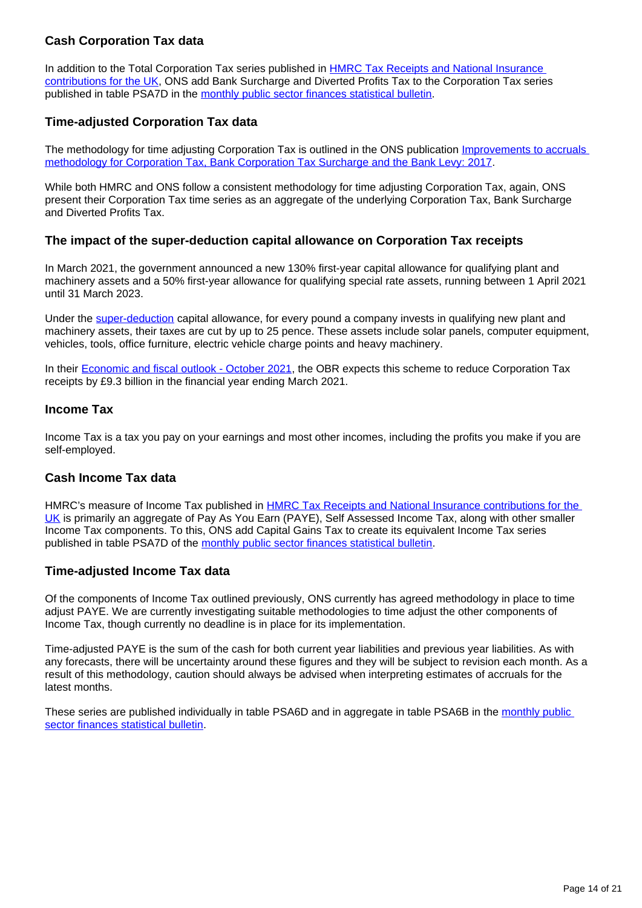## **Cash Corporation Tax data**

In addition to the Total Corporation Tax series published in **HMRC Tax Receipts and National Insurance** [contributions for the UK](https://www.gov.uk/government/statistics/hmrc-tax-and-nics-receipts-for-the-uk), ONS add Bank Surcharge and Diverted Profits Tax to the Corporation Tax series published in table PSA7D in the [monthly public sector finances statistical bulletin.](https://www.ons.gov.uk/economy/governmentpublicsectorandtaxes/publicsectorfinance/datasets/publicsectorfinancesappendixatables110)

## **Time-adjusted Corporation Tax data**

The methodology for time adjusting Corporation Tax is outlined in the ONS publication [Improvements to accruals](https://www.ons.gov.uk/economy/governmentpublicsectorandtaxes/publicsectorfinance/articles/improvementstoaccrualsmethodologyforcorporationtaxbankcorporationtaxsurchargeandthebanklevy/2017)  [methodology for Corporation Tax, Bank Corporation Tax Surcharge and the Bank Levy: 2017](https://www.ons.gov.uk/economy/governmentpublicsectorandtaxes/publicsectorfinance/articles/improvementstoaccrualsmethodologyforcorporationtaxbankcorporationtaxsurchargeandthebanklevy/2017).

While both HMRC and ONS follow a consistent methodology for time adjusting Corporation Tax, again, ONS present their Corporation Tax time series as an aggregate of the underlying Corporation Tax, Bank Surcharge and Diverted Profits Tax.

#### **The impact of the super-deduction capital allowance on Corporation Tax receipts**

In March 2021, the government announced a new 130% first-year capital allowance for qualifying plant and machinery assets and a 50% first-year allowance for qualifying special rate assets, running between 1 April 2021 until 31 March 2023.

Under the [super-deduction](https://www.gov.uk/guidance/super-deduction) capital allowance, for every pound a company invests in qualifying new plant and machinery assets, their taxes are cut by up to 25 pence. These assets include solar panels, computer equipment, vehicles, tools, office furniture, electric vehicle charge points and heavy machinery.

In their [Economic and fiscal outlook - October 2021,](https://obr.uk/efo/economic-and-fiscal-outlook-october-2021/) the OBR expects this scheme to reduce Corporation Tax receipts by £9.3 billion in the financial year ending March 2021.

#### **Income Tax**

Income Tax is a tax you pay on your earnings and most other incomes, including the profits you make if you are self-employed.

#### **Cash Income Tax data**

HMRC's measure of Income Tax published in [HMRC Tax Receipts and National Insurance contributions for the](https://www.gov.uk/government/statistics/hmrc-tax-and-nics-receipts-for-the-uk)  [UK](https://www.gov.uk/government/statistics/hmrc-tax-and-nics-receipts-for-the-uk) is primarily an aggregate of Pay As You Earn (PAYE), Self Assessed Income Tax, along with other smaller Income Tax components. To this, ONS add Capital Gains Tax to create its equivalent Income Tax series published in table PSA7D of the [monthly public sector finances statistical bulletin](https://www.ons.gov.uk/economy/governmentpublicsectorandtaxes/publicsectorfinance/datasets/publicsectorfinancesappendixatables110).

#### **Time-adjusted Income Tax data**

Of the components of Income Tax outlined previously, ONS currently has agreed methodology in place to time adjust PAYE. We are currently investigating suitable methodologies to time adjust the other components of Income Tax, though currently no deadline is in place for its implementation.

Time-adjusted PAYE is the sum of the cash for both current year liabilities and previous year liabilities. As with any forecasts, there will be uncertainty around these figures and they will be subject to revision each month. As a result of this methodology, caution should always be advised when interpreting estimates of accruals for the latest months.

These series are published individually in table PSA6D and in aggregate in table PSA6B in the [monthly public](https://www.ons.gov.uk/economy/governmentpublicsectorandtaxes/publicsectorfinance/datasets/publicsectorfinancesappendixatables110)  [sector finances statistical bulletin.](https://www.ons.gov.uk/economy/governmentpublicsectorandtaxes/publicsectorfinance/datasets/publicsectorfinancesappendixatables110)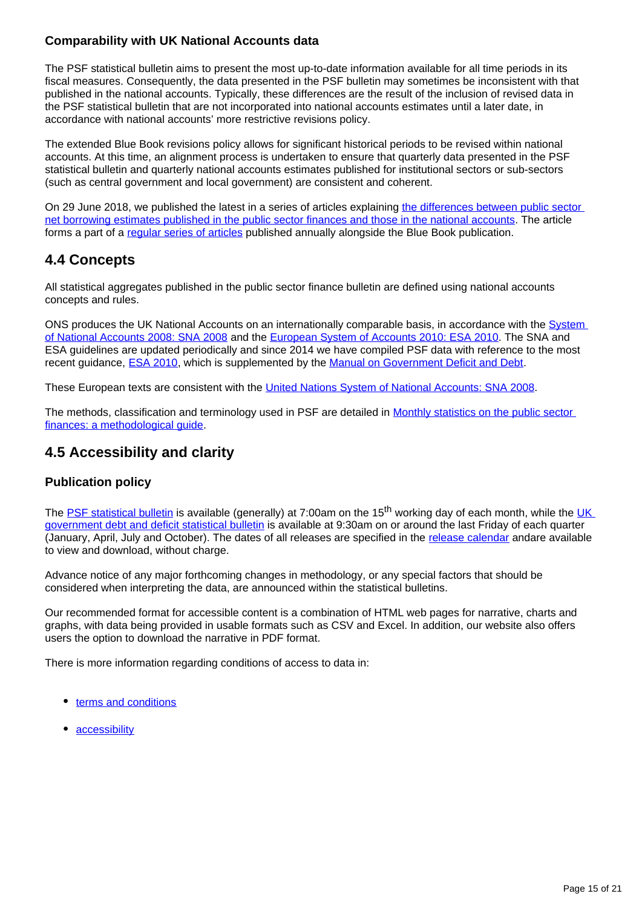## **Comparability with UK National Accounts data**

The PSF statistical bulletin aims to present the most up-to-date information available for all time periods in its fiscal measures. Consequently, the data presented in the PSF bulletin may sometimes be inconsistent with that published in the national accounts. Typically, these differences are the result of the inclusion of revised data in the PSF statistical bulletin that are not incorporated into national accounts estimates until a later date, in accordance with national accounts' more restrictive revisions policy.

The extended Blue Book revisions policy allows for significant historical periods to be revised within national accounts. At this time, an alignment process is undertaken to ensure that quarterly data presented in the PSF statistical bulletin and quarterly national accounts estimates published for institutional sectors or sub-sectors (such as central government and local government) are consistent and coherent.

On 29 June 2018, we published the latest in a series of articles explaining the differences between public sector [net borrowing estimates published in the public sector finances and those in the national accounts.](https://www.ons.gov.uk/releases/nationalaccountsarticlesalignmentbetweenpublicsectorfinancesandnationalaccountsjune2018) The article forms a part of a [regular series of articles](https://www.ons.gov.uk/economy/governmentpublicsectorandtaxes/publicsectorfinance/articles/alignmentbetweenpublicsectorfinancesandnationalaccounts/previousReleases) published annually alongside the Blue Book publication.

# **4.4 Concepts**

All statistical aggregates published in the public sector finance bulletin are defined using national accounts concepts and rules.

ONS produces the UK National Accounts on an internationally comparable basis, in accordance with the System [of National Accounts 2008: SNA 2008](http://unstats.un.org/unsd/nationalaccount/sna2008.asp) and the [European System of Accounts 2010: ESA 2010](http://ec.europa.eu/eurostat/web/esa-2010). The SNA and ESA guidelines are updated periodically and since 2014 we have compiled PSF data with reference to the most recent guidance, [ESA 2010,](http://ec.europa.eu/eurostat/web/esa-2010) which is supplemented by the [Manual on Government Deficit and Debt.](http://ec.europa.eu/eurostat/web/products-manuals-and-guidelines/-/KS-GQ-16-001)

These European texts are consistent with the [United Nations System of National Accounts: SNA 2008.](http://unstats.un.org/unsd/nationalaccount/sna2008.asp)

The methods, classification and terminology used in PSF are detailed in [Monthly statistics on the public sector](https://www.ons.gov.uk/economy/governmentpublicsectorandtaxes/publicsectorfinance/methodologies/monthlystatisticsonthepublicsectorfinancesamethodologicalguide)  [finances: a methodological guide.](https://www.ons.gov.uk/economy/governmentpublicsectorandtaxes/publicsectorfinance/methodologies/monthlystatisticsonthepublicsectorfinancesamethodologicalguide)

# **4.5 Accessibility and clarity**

## **Publication policy**

The [PSF statistical bulletin](https://www.ons.gov.uk/economy/governmentpublicsectorandtaxes/publicsectorfinance/bulletins/publicsectorfinances/previousReleases) is available (generally) at 7:00am on the 15<sup>th</sup> working day of each month, while the UK [government debt and deficit statistical bulletin](https://www.ons.gov.uk/economy/governmentpublicsectorandtaxes/publicspending/bulletins/ukgovernmentdebtanddeficitforeurostatmaast/previousReleases) is available at 9:30am on or around the last Friday of each quarter (January, April, July and October). The dates of all releases are specified in the [release calendar](https://www.ons.gov.uk/releasecalendar) andare available to view and download, without charge.

Advance notice of any major forthcoming changes in methodology, or any special factors that should be considered when interpreting the data, are announced within the statistical bulletins.

Our recommended format for accessible content is a combination of HTML web pages for narrative, charts and graphs, with data being provided in usable formats such as CSV and Excel. In addition, our website also offers users the option to download the narrative in PDF format.

There is more information regarding conditions of access to data in:

- [terms and conditions](https://www.ons.gov.uk/help/termsandconditions)
- [accessibility](https://www.ons.gov.uk/help/accessibility)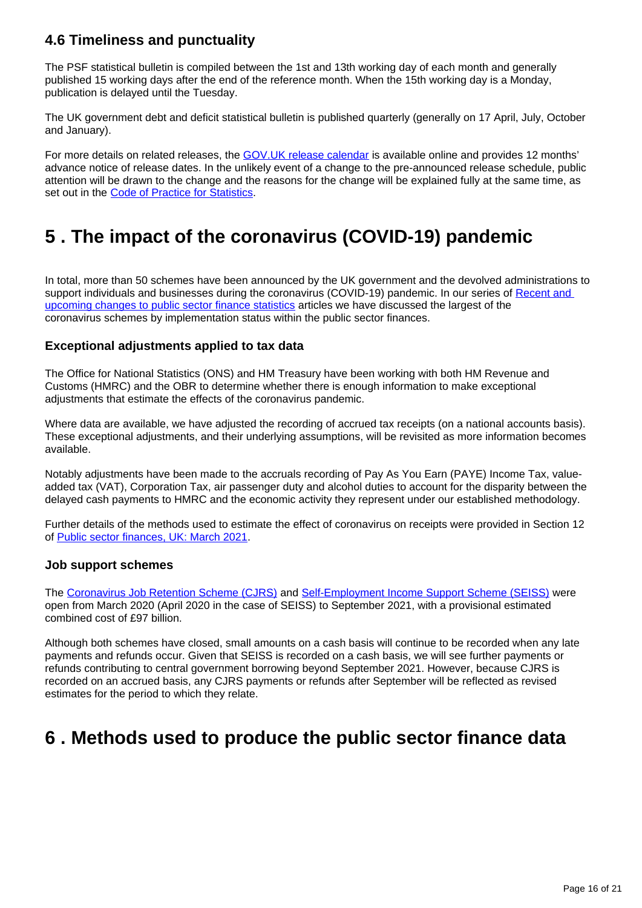# **4.6 Timeliness and punctuality**

The PSF statistical bulletin is compiled between the 1st and 13th working day of each month and generally published 15 working days after the end of the reference month. When the 15th working day is a Monday, publication is delayed until the Tuesday.

The UK government debt and deficit statistical bulletin is published quarterly (generally on 17 April, July, October and January).

For more details on related releases, the [GOV.UK release calendar](https://www.gov.uk/government/publications) is available online and provides 12 months' advance notice of release dates. In the unlikely event of a change to the pre-announced release schedule, public attention will be drawn to the change and the reasons for the change will be explained fully at the same time, as set out in the [Code of Practice for Statistics.](http://www.statisticsauthority.gov.uk/assessment/code-of-practice/index.html)

# <span id="page-15-0"></span>**5 . The impact of the coronavirus (COVID-19) pandemic**

In total, more than 50 schemes have been announced by the UK government and the devolved administrations to support individuals and businesses during the coronavirus (COVID-19) pandemic. In our series of Recent and [upcoming changes to public sector finance statistics](https://www.ons.gov.uk/economy/governmentpublicsectorandtaxes/publicsectorfinance/articles/developmentofpublicsectorfinancestatistics/previousReleases) articles we have discussed the largest of the coronavirus schemes by implementation status within the public sector finances.

## **Exceptional adjustments applied to tax data**

The Office for National Statistics (ONS) and HM Treasury have been working with both HM Revenue and Customs (HMRC) and the OBR to determine whether there is enough information to make exceptional adjustments that estimate the effects of the coronavirus pandemic.

Where data are available, we have adjusted the recording of accrued tax receipts (on a national accounts basis). These exceptional adjustments, and their underlying assumptions, will be revisited as more information becomes available.

Notably adjustments have been made to the accruals recording of Pay As You Earn (PAYE) Income Tax, valueadded tax (VAT), Corporation Tax, air passenger duty and alcohol duties to account for the disparity between the delayed cash payments to HMRC and the economic activity they represent under our established methodology.

Further details of the methods used to estimate the effect of coronavirus on receipts were provided in Section 12 of [Public sector finances, UK: March 2021.](https://www.ons.gov.uk/economy/governmentpublicsectorandtaxes/publicsectorfinance/bulletins/publicsectorfinances/march2021)

#### **Job support schemes**

The [Coronavirus Job Retention Scheme \(CJRS\)](https://www.gov.uk/guidance/claim-for-wages-through-the-coronavirus-job-retention-scheme) and [Self-Employment Income Support Scheme \(SEISS\)](https://www.gov.uk/government/news/applications-for-self-employment-income-support-scheme-open-early) were open from March 2020 (April 2020 in the case of SEISS) to September 2021, with a provisional estimated combined cost of £97 billion.

Although both schemes have closed, small amounts on a cash basis will continue to be recorded when any late payments and refunds occur. Given that SEISS is recorded on a cash basis, we will see further payments or refunds contributing to central government borrowing beyond September 2021. However, because CJRS is recorded on an accrued basis, any CJRS payments or refunds after September will be reflected as revised estimates for the period to which they relate.

# <span id="page-15-1"></span>**6 . Methods used to produce the public sector finance data**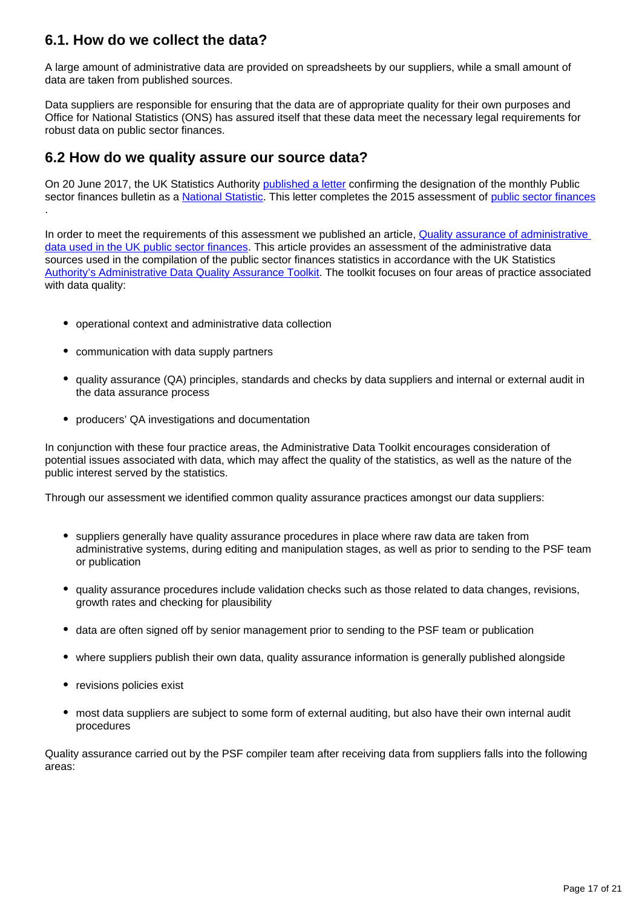# **6.1. How do we collect the data?**

A large amount of administrative data are provided on spreadsheets by our suppliers, while a small amount of data are taken from published sources.

Data suppliers are responsible for ensuring that the data are of appropriate quality for their own purposes and Office for National Statistics (ONS) has assured itself that these data meet the necessary legal requirements for robust data on public sector finances.

# **6.2 How do we quality assure our source data?**

On 20 June 2017, the UK Statistics Authority [published a letter](https://www.statisticsauthority.gov.uk/publication/15302/) confirming the designation of the monthly Public sector finances bulletin as a [National Statistic](https://www.statisticsauthority.gov.uk/national-statistician/types-of-official-statistics/). This letter completes the 2015 assessment of [public sector finances](https://www.statisticsauthority.gov.uk/publication/statistics-on-the-public-sector-finances/) .

In order to meet the requirements of this assessment we published an article, Quality assurance of administrative [data used in the UK public sector finances](https://www.ons.gov.uk/economy/governmentpublicsectorandtaxes/publicsectorfinance/methodologies/qualityassuranceofadministrativedatausedintheukpublicsectorfinancesfeb2017). This article provides an assessment of the administrative data sources used in the compilation of the public sector finances statistics in accordance with the UK Statistics [Authority's Administrative Data Quality Assurance Toolkit](https://www.statisticsauthority.gov.uk/monitoring-and-assessment/monitoring/administrative-data-and-official-statistics/). The toolkit focuses on four areas of practice associated with data quality:

- operational context and administrative data collection
- communication with data supply partners
- quality assurance (QA) principles, standards and checks by data suppliers and internal or external audit in the data assurance process
- producers' QA investigations and documentation

In conjunction with these four practice areas, the Administrative Data Toolkit encourages consideration of potential issues associated with data, which may affect the quality of the statistics, as well as the nature of the public interest served by the statistics.

Through our assessment we identified common quality assurance practices amongst our data suppliers:

- suppliers generally have quality assurance procedures in place where raw data are taken from administrative systems, during editing and manipulation stages, as well as prior to sending to the PSF team or publication
- quality assurance procedures include validation checks such as those related to data changes, revisions, growth rates and checking for plausibility
- data are often signed off by senior management prior to sending to the PSF team or publication
- where suppliers publish their own data, quality assurance information is generally published alongside
- revisions policies exist
- most data suppliers are subject to some form of external auditing, but also have their own internal audit procedures

Quality assurance carried out by the PSF compiler team after receiving data from suppliers falls into the following areas: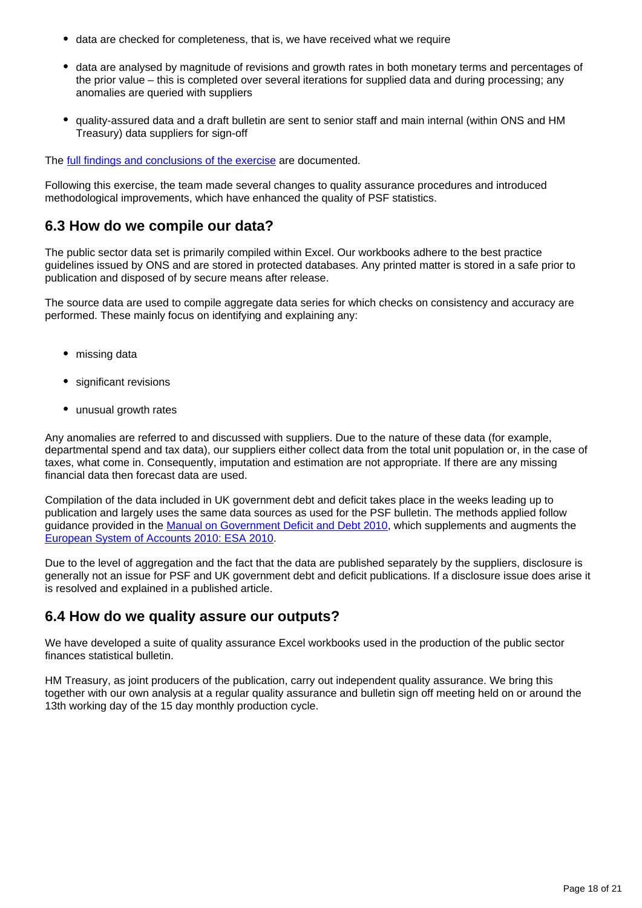- data are checked for completeness, that is, we have received what we require
- data are analysed by magnitude of revisions and growth rates in both monetary terms and percentages of the prior value – this is completed over several iterations for supplied data and during processing; any anomalies are queried with suppliers
- quality-assured data and a draft bulletin are sent to senior staff and main internal (within ONS and HM Treasury) data suppliers for sign-off

The [full findings and conclusions of the exercise](https://www.ons.gov.uk/economy/governmentpublicsectorandtaxes/publicsectorfinance/methodologies/qualityassuranceofadministrativedatausedintheukpublicsectorfinancesfeb2017) are documented.

Following this exercise, the team made several changes to quality assurance procedures and introduced methodological improvements, which have enhanced the quality of PSF statistics.

## **6.3 How do we compile our data?**

The public sector data set is primarily compiled within Excel. Our workbooks adhere to the best practice guidelines issued by ONS and are stored in protected databases. Any printed matter is stored in a safe prior to publication and disposed of by secure means after release.

The source data are used to compile aggregate data series for which checks on consistency and accuracy are performed. These mainly focus on identifying and explaining any:

- missing data
- significant revisions
- unusual growth rates

Any anomalies are referred to and discussed with suppliers. Due to the nature of these data (for example, departmental spend and tax data), our suppliers either collect data from the total unit population or, in the case of taxes, what come in. Consequently, imputation and estimation are not appropriate. If there are any missing financial data then forecast data are used.

Compilation of the data included in UK government debt and deficit takes place in the weeks leading up to publication and largely uses the same data sources as used for the PSF bulletin. The methods applied follow guidance provided in the [Manual on Government Deficit and Debt 2010,](http://ec.europa.eu/eurostat/en/web/products-manuals-and-guidelines/-/KS-GQ-16-001) which supplements and augments the [European System of Accounts 2010: ESA 2010.](http://ec.europa.eu/eurostat/en/web/products-manuals-and-guidelines/-/KS-02-13-269)

Due to the level of aggregation and the fact that the data are published separately by the suppliers, disclosure is generally not an issue for PSF and UK government debt and deficit publications. If a disclosure issue does arise it is resolved and explained in a published article.

## **6.4 How do we quality assure our outputs?**

We have developed a suite of quality assurance Excel workbooks used in the production of the public sector finances statistical bulletin.

HM Treasury, as joint producers of the publication, carry out independent quality assurance. We bring this together with our own analysis at a regular quality assurance and bulletin sign off meeting held on or around the 13th working day of the 15 day monthly production cycle.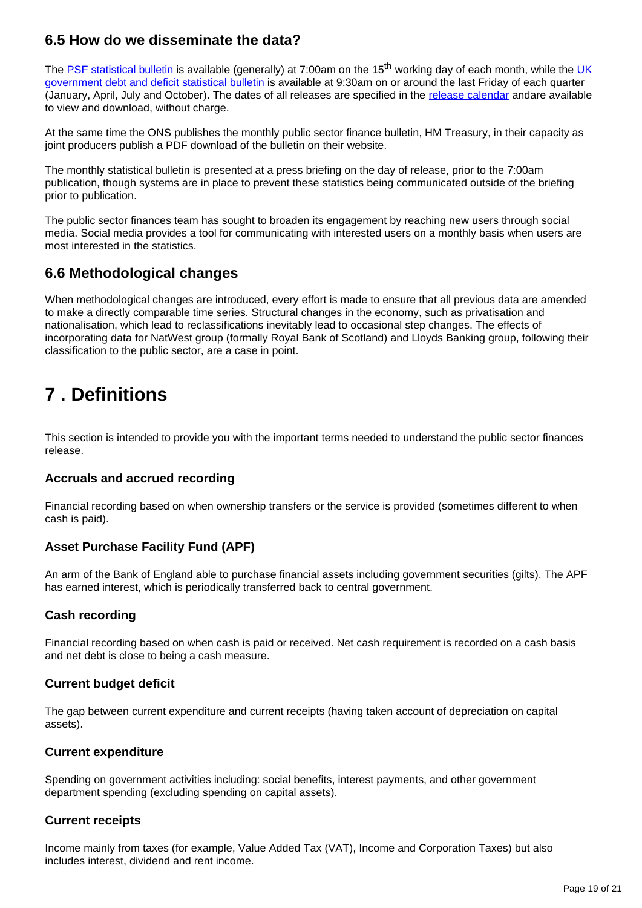# **6.5 How do we disseminate the data?**

The [PSF statistical bulletin](https://www.ons.gov.uk/economy/governmentpublicsectorandtaxes/publicsectorfinance/bulletins/publicsectorfinances/previousReleases) is available (generally) at 7:00am on the 15<sup>th</sup> working day of each month, while the UK [government debt and deficit statistical bulletin](https://www.ons.gov.uk/economy/governmentpublicsectorandtaxes/publicspending/bulletins/ukgovernmentdebtanddeficitforeurostatmaast/previousReleases) is available at 9:30am on or around the last Friday of each quarter (January, April, July and October). The dates of all releases are specified in the [release calendar](https://www.ons.gov.uk/releasecalendar) andare available to view and download, without charge.

At the same time the ONS publishes the monthly public sector finance bulletin, HM Treasury, in their capacity as joint producers publish a PDF download of the bulletin on their website.

The monthly statistical bulletin is presented at a press briefing on the day of release, prior to the 7:00am publication, though systems are in place to prevent these statistics being communicated outside of the briefing prior to publication.

The public sector finances team has sought to broaden its engagement by reaching new users through social media. Social media provides a tool for communicating with interested users on a monthly basis when users are most interested in the statistics.

# **6.6 Methodological changes**

When methodological changes are introduced, every effort is made to ensure that all previous data are amended to make a directly comparable time series. Structural changes in the economy, such as privatisation and nationalisation, which lead to reclassifications inevitably lead to occasional step changes. The effects of incorporating data for NatWest group (formally Royal Bank of Scotland) and Lloyds Banking group, following their classification to the public sector, are a case in point.

# <span id="page-18-0"></span>**7 . Definitions**

This section is intended to provide you with the important terms needed to understand the public sector finances release.

## **Accruals and accrued recording**

Financial recording based on when ownership transfers or the service is provided (sometimes different to when cash is paid).

## **Asset Purchase Facility Fund (APF)**

An arm of the Bank of England able to purchase financial assets including government securities (gilts). The APF has earned interest, which is periodically transferred back to central government.

## **Cash recording**

Financial recording based on when cash is paid or received. Net cash requirement is recorded on a cash basis and net debt is close to being a cash measure.

#### **Current budget deficit**

The gap between current expenditure and current receipts (having taken account of depreciation on capital assets).

#### **Current expenditure**

Spending on government activities including: social benefits, interest payments, and other government department spending (excluding spending on capital assets).

## **Current receipts**

Income mainly from taxes (for example, Value Added Tax (VAT), Income and Corporation Taxes) but also includes interest, dividend and rent income.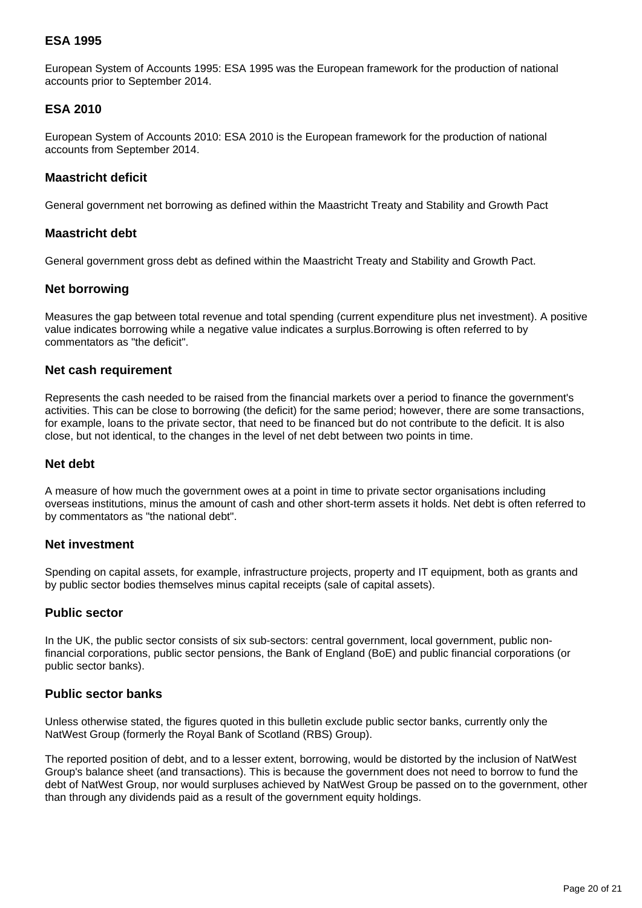### **ESA 1995**

European System of Accounts 1995: ESA 1995 was the European framework for the production of national accounts prior to September 2014.

#### **ESA 2010**

European System of Accounts 2010: ESA 2010 is the European framework for the production of national accounts from September 2014.

#### **Maastricht deficit**

General government net borrowing as defined within the Maastricht Treaty and Stability and Growth Pact

#### **Maastricht debt**

General government gross debt as defined within the Maastricht Treaty and Stability and Growth Pact.

#### **Net borrowing**

Measures the gap between total revenue and total spending (current expenditure plus net investment). A positive value indicates borrowing while a negative value indicates a surplus.Borrowing is often referred to by commentators as "the deficit".

#### **Net cash requirement**

Represents the cash needed to be raised from the financial markets over a period to finance the government's activities. This can be close to borrowing (the deficit) for the same period; however, there are some transactions, for example, loans to the private sector, that need to be financed but do not contribute to the deficit. It is also close, but not identical, to the changes in the level of net debt between two points in time.

#### **Net debt**

A measure of how much the government owes at a point in time to private sector organisations including overseas institutions, minus the amount of cash and other short-term assets it holds. Net debt is often referred to by commentators as "the national debt".

#### **Net investment**

Spending on capital assets, for example, infrastructure projects, property and IT equipment, both as grants and by public sector bodies themselves minus capital receipts (sale of capital assets).

#### **Public sector**

In the UK, the public sector consists of six sub-sectors: central government, local government, public nonfinancial corporations, public sector pensions, the Bank of England (BoE) and public financial corporations (or public sector banks).

#### **Public sector banks**

Unless otherwise stated, the figures quoted in this bulletin exclude public sector banks, currently only the NatWest Group (formerly the Royal Bank of Scotland (RBS) Group).

The reported position of debt, and to a lesser extent, borrowing, would be distorted by the inclusion of NatWest Group's balance sheet (and transactions). This is because the government does not need to borrow to fund the debt of NatWest Group, nor would surpluses achieved by NatWest Group be passed on to the government, other than through any dividends paid as a result of the government equity holdings.